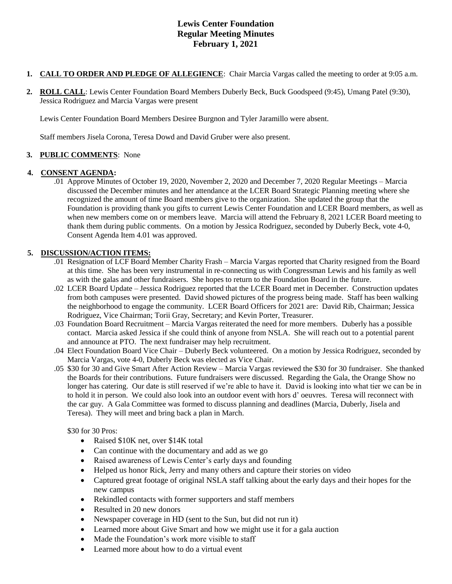# **Lewis Center Foundation Regular Meeting Minutes February 1, 2021**

- **1. CALL TO ORDER AND PLEDGE OF ALLEGIENCE**: Chair Marcia Vargas called the meeting to order at 9:05 a.m.
- **2. ROLL CALL**: Lewis Center Foundation Board Members Duberly Beck, Buck Goodspeed (9:45), Umang Patel (9:30), Jessica Rodriguez and Marcia Vargas were present

Lewis Center Foundation Board Members Desiree Burgnon and Tyler Jaramillo were absent.

Staff members Jisela Corona, Teresa Dowd and David Gruber were also present.

## **3. PUBLIC COMMENTS**: None

#### **4. CONSENT AGENDA:**

.01 Approve Minutes of October 19, 2020, November 2, 2020 and December 7, 2020 Regular Meetings – Marcia discussed the December minutes and her attendance at the LCER Board Strategic Planning meeting where she recognized the amount of time Board members give to the organization. She updated the group that the Foundation is providing thank you gifts to current Lewis Center Foundation and LCER Board members, as well as when new members come on or members leave. Marcia will attend the February 8, 2021 LCER Board meeting to thank them during public comments. On a motion by Jessica Rodriguez, seconded by Duberly Beck, vote 4-0, Consent Agenda Item 4.01 was approved.

#### **5. DISCUSSION/ACTION ITEMS:**

- .01 Resignation of LCF Board Member Charity Frash Marcia Vargas reported that Charity resigned from the Board at this time. She has been very instrumental in re-connecting us with Congressman Lewis and his family as well as with the galas and other fundraisers. She hopes to return to the Foundation Board in the future.
- .02 LCER Board Update Jessica Rodriguez reported that the LCER Board met in December. Construction updates from both campuses were presented. David showed pictures of the progress being made. Staff has been walking the neighborhood to engage the community. LCER Board Officers for 2021 are: David Rib, Chairman; Jessica Rodriguez, Vice Chairman; Torii Gray, Secretary; and Kevin Porter, Treasurer.
- .03 Foundation Board Recruitment Marcia Vargas reiterated the need for more members. Duberly has a possible contact. Marcia asked Jessica if she could think of anyone from NSLA. She will reach out to a potential parent and announce at PTO. The next fundraiser may help recruitment.
- .04 Elect Foundation Board Vice Chair Duberly Beck volunteered. On a motion by Jessica Rodriguez, seconded by Marcia Vargas, vote 4-0, Duberly Beck was elected as Vice Chair.
- .05 \$30 for 30 and Give Smart After Action Review Marcia Vargas reviewed the \$30 for 30 fundraiser. She thanked the Boards for their contributions. Future fundraisers were discussed. Regarding the Gala, the Orange Show no longer has catering. Our date is still reserved if we're able to have it. David is looking into what tier we can be in to hold it in person. We could also look into an outdoor event with hors d' oeuvres. Teresa will reconnect with the car guy. A Gala Committee was formed to discuss planning and deadlines (Marcia, Duberly, Jisela and Teresa). They will meet and bring back a plan in March.

\$30 for 30 Pros:

- Raised \$10K net, over \$14K total
- Can continue with the documentary and add as we go
- Raised awareness of Lewis Center's early days and founding
- Helped us honor Rick, Jerry and many others and capture their stories on video
- Captured great footage of original NSLA staff talking about the early days and their hopes for the new campus
- Rekindled contacts with former supporters and staff members
- Resulted in 20 new donors
- Newspaper coverage in HD (sent to the Sun, but did not run it)
- Learned more about Give Smart and how we might use it for a gala auction
- Made the Foundation's work more visible to staff
- Learned more about how to do a virtual event